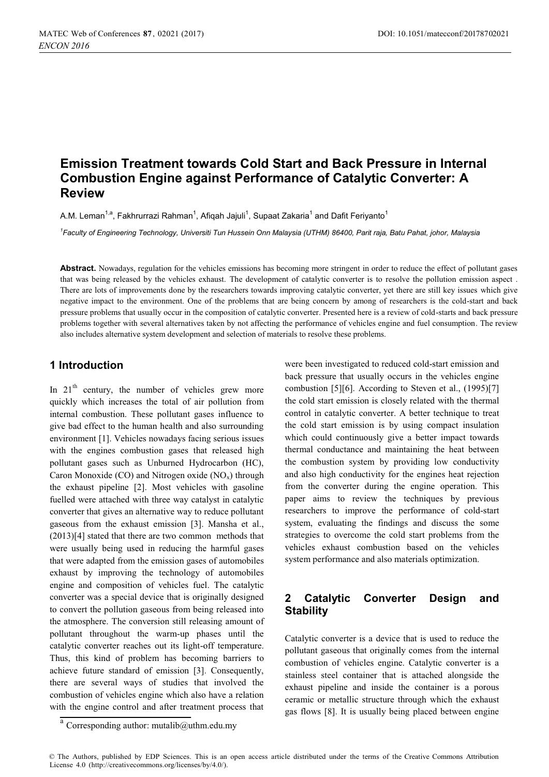# **Emission Treatment towards Cold Start and Back Pressure in Internal Combustion Engine against Performance of Catalytic Converter: A Review**

A.M. Leman<sup>1,a</sup>. Fakhrurrazi Rahman<sup>1</sup>. Afiqah Jaiuli<sup>1</sup>. Supaat Zakaria<sup>1</sup> and Dafit Ferivanto<sup>1</sup>

*1 Faculty of Engineering Technology, Universiti Tun Hussein Onn Malaysia (UTHM) 86400, Parit raja, Batu Pahat, johor, Malaysia* 

Abstract. Nowadays, regulation for the vehicles emissions has becoming more stringent in order to reduce the effect of pollutant gases that was being released by the vehicles exhaust. The development of catalytic converter is to resolve the pollution emission aspect . There are lots of improvements done by the researchers towards improving catalytic converter, yet there are still key issues which give negative impact to the environment. One of the problems that are being concern by among of researchers is the cold-start and back pressure problems that usually occur in the composition of catalytic converter. Presented here is a review of cold-starts and back pressure problems together with several alternatives taken by not affecting the performance of vehicles engine and fuel consumption. The review also includes alternative system development and selection of materials to resolve these problems.

## **1 Introduction**

In  $21<sup>th</sup>$  century, the number of vehicles grew more quickly which increases the total of air pollution from internal combustion. These pollutant gases influence to give bad effect to the human health and also surrounding environment [1]. Vehicles nowadays facing serious issues with the engines combustion gases that released high pollutant gases such as Unburned Hydrocarbon (HC), Caron Monoxide (CO) and Nitrogen oxide  $(NO_x)$  through the exhaust pipeline [2]. Most vehicles with gasoline fuelled were attached with three way catalyst in catalytic converter that gives an alternative way to reduce pollutant gaseous from the exhaust emission [3]. Mansha et al., (2013)[4] stated that there are two common methods that were usually being used in reducing the harmful gases that were adapted from the emission gases of automobiles exhaust by improving the technology of automobiles engine and composition of vehicles fuel. The catalytic converter was a special device that is originally designed to convert the pollution gaseous from being released into the atmosphere. The conversion still releasing amount of pollutant throughout the warm-up phases until the catalytic converter reaches out its light-off temperature. Thus, this kind of problem has becoming barriers to achieve future standard of emission [3]. Consequently, there are several ways of studies that involved the combustion of vehicles engine which also have a relation with the engine control and after treatment process that

were been investigated to reduced cold-start emission and back pressure that usually occurs in the vehicles engine combustion [5][6]. According to Steven et al., (1995)[7] the cold start emission is closely related with the thermal control in catalytic converter. A better technique to treat the cold start emission is by using compact insulation which could continuously give a better impact towards thermal conductance and maintaining the heat between the combustion system by providing low conductivity and also high conductivity for the engines heat rejection from the converter during the engine operation. This paper aims to review the techniques by previous researchers to improve the performance of cold-start system, evaluating the findings and discuss the some strategies to overcome the cold start problems from the vehicles exhaust combustion based on the vehicles system performance and also materials optimization.

# **2 Catalytic Converter Design and Stability**

Catalytic converter is a device that is used to reduce the pollutant gaseous that originally comes from the internal combustion of vehicles engine. Catalytic converter is a stainless steel container that is attached alongside the exhaust pipeline and inside the container is a porous ceramic or metallic structure through which the exhaust gas flows [8]. It is usually being placed between engine

© The Authors, published by EDP Sciences. This is an open access article distributed under the terms of the Creative Commons Attribution License 4.0 (http://creativecommons.org/licenses/by/4.0/).

 $\frac{a}{a}$  Corresponding author: mutalib@uthm.edu.my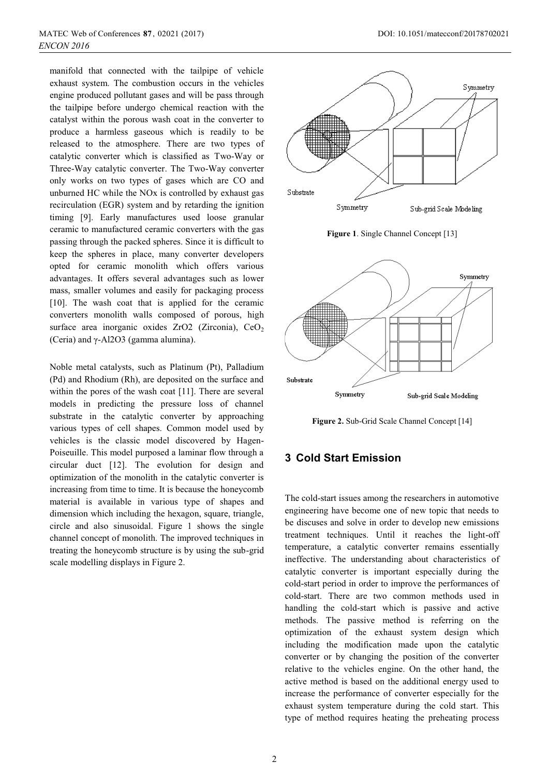manifold that connected with the tailpipe of vehicle exhaust system. The combustion occurs in the vehicles engine produced pollutant gases and will be pass through the tailpipe before undergo chemical reaction with the catalyst within the porous wash coat in the converter to produce a harmless gaseous which is readily to be released to the atmosphere. There are two types of catalytic converter which is classified as Two-Way or Three-Way catalytic converter. The Two-Way converter only works on two types of gases which are CO and unburned HC while the NOx is controlled by exhaust gas recirculation (EGR) system and by retarding the ignition timing [9]. Early manufactures used loose granular ceramic to manufactured ceramic converters with the gas passing through the packed spheres. Since it is difficult to keep the spheres in place, many converter developers opted for ceramic monolith which offers various advantages. It offers several advantages such as lower mass, smaller volumes and easily for packaging process [10]. The wash coat that is applied for the ceramic converters monolith walls composed of porous, high surface area inorganic oxides ZrO2 (Zirconia), CeO<sub>2</sub> (Ceria) and γ-Al2O3 (gamma alumina).

Noble metal catalysts, such as Platinum (Pt), Palladium (Pd) and Rhodium (Rh), are deposited on the surface and within the pores of the wash coat [11]. There are several models in predicting the pressure loss of channel substrate in the catalytic converter by approaching various types of cell shapes. Common model used by vehicles is the classic model discovered by Hagen-Poiseuille. This model purposed a laminar flow through a circular duct [12]. The evolution for design and optimization of the monolith in the catalytic converter is increasing from time to time. It is because the honeycomb material is available in various type of shapes and dimension which including the hexagon, square, triangle, circle and also sinusoidal. Figure 1 shows the single channel concept of monolith. The improved techniques in treating the honeycomb structure is by using the sub-grid scale modelling displays in Figure 2.



**Figure 1**. Single Channel Concept [13]



**Figure 2.** Sub-Grid Scale Channel Concept [14]

#### **3 Cold Start Emission**

The cold-start issues among the researchers in automotive engineering have become one of new topic that needs to be discuses and solve in order to develop new emissions treatment techniques. Until it reaches the light-off temperature, a catalytic converter remains essentially ineffective. The understanding about characteristics of catalytic converter is important especially during the cold-start period in order to improve the performances of cold-start. There are two common methods used in handling the cold-start which is passive and active methods. The passive method is referring on the optimization of the exhaust system design which including the modification made upon the catalytic converter or by changing the position of the converter relative to the vehicles engine. On the other hand, the active method is based on the additional energy used to increase the performance of converter especially for the exhaust system temperature during the cold start. This type of method requires heating the preheating process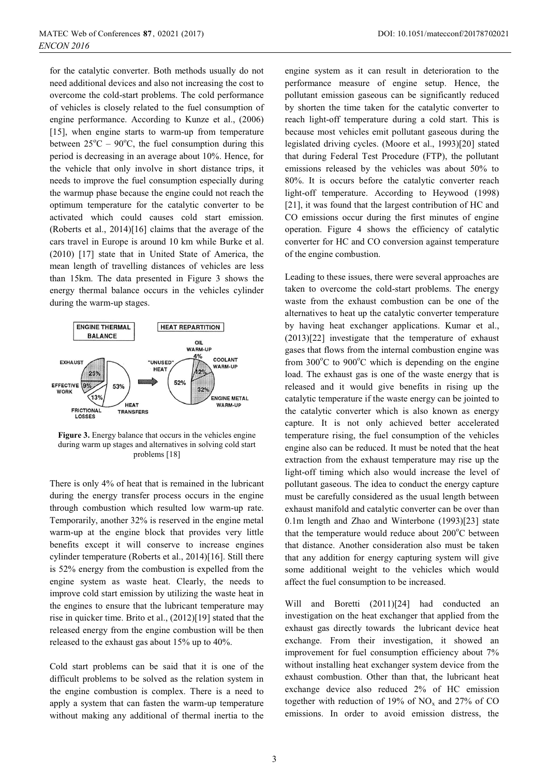for the catalytic converter. Both methods usually do not need additional devices and also not increasing the cost to overcome the cold-start problems. The cold performance of vehicles is closely related to the fuel consumption of engine performance. According to Kunze et al., (2006) [15], when engine starts to warm-up from temperature between  $25^{\circ}$ C –  $90^{\circ}$ C, the fuel consumption during this period is decreasing in an average about 10%. Hence, for the vehicle that only involve in short distance trips, it needs to improve the fuel consumption especially during the warmup phase because the engine could not reach the optimum temperature for the catalytic converter to be activated which could causes cold start emission. (Roberts et al., 2014)[16] claims that the average of the cars travel in Europe is around 10 km while Burke et al. (2010) [17] state that in United State of America, the mean length of travelling distances of vehicles are less than 15km. The data presented in Figure 3 shows the energy thermal balance occurs in the vehicles cylinder during the warm-up stages.



**Figure 3.** Energy balance that occurs in the vehicles engine during warm up stages and alternatives in solving cold start problems [18]

There is only 4% of heat that is remained in the lubricant during the energy transfer process occurs in the engine through combustion which resulted low warm-up rate. Temporarily, another 32% is reserved in the engine metal warm-up at the engine block that provides very little benefits except it will conserve to increase engines cylinder temperature (Roberts et al., 2014)[16]. Still there is 52% energy from the combustion is expelled from the engine system as waste heat. Clearly, the needs to improve cold start emission by utilizing the waste heat in the engines to ensure that the lubricant temperature may rise in quicker time. Brito et al., (2012)[19] stated that the released energy from the engine combustion will be then released to the exhaust gas about 15% up to 40%.

Cold start problems can be said that it is one of the difficult problems to be solved as the relation system in the engine combustion is complex. There is a need to apply a system that can fasten the warm-up temperature without making any additional of thermal inertia to the

engine system as it can result in deterioration to the performance measure of engine setup. Hence, the pollutant emission gaseous can be significantly reduced by shorten the time taken for the catalytic converter to reach light-off temperature during a cold start. This is because most vehicles emit pollutant gaseous during the legislated driving cycles. (Moore et al., 1993)[20] stated that during Federal Test Procedure (FTP), the pollutant emissions released by the vehicles was about 50% to 80%. It is occurs before the catalytic converter reach light-off temperature. According to Heywood (1998) [21], it was found that the largest contribution of HC and CO emissions occur during the first minutes of engine operation. Figure 4 shows the efficiency of catalytic converter for HC and CO conversion against temperature of the engine combustion.

Leading to these issues, there were several approaches are taken to overcome the cold-start problems. The energy waste from the exhaust combustion can be one of the alternatives to heat up the catalytic converter temperature by having heat exchanger applications. Kumar et al., (2013)[22] investigate that the temperature of exhaust gases that flows from the internal combustion engine was from 300°C to 900°C which is depending on the engine load. The exhaust gas is one of the waste energy that is released and it would give benefits in rising up the catalytic temperature if the waste energy can be jointed to the catalytic converter which is also known as energy capture. It is not only achieved better accelerated temperature rising, the fuel consumption of the vehicles engine also can be reduced. It must be noted that the heat extraction from the exhaust temperature may rise up the light-off timing which also would increase the level of pollutant gaseous. The idea to conduct the energy capture must be carefully considered as the usual length between exhaust manifold and catalytic converter can be over than 0.1m length and Zhao and Winterbone (1993)[23] state that the temperature would reduce about 200°C between that distance. Another consideration also must be taken that any addition for energy capturing system will give some additional weight to the vehicles which would affect the fuel consumption to be increased.

Will and Boretti (2011)[24] had conducted an investigation on the heat exchanger that applied from the exhaust gas directly towards the lubricant device heat exchange. From their investigation, it showed an improvement for fuel consumption efficiency about 7% without installing heat exchanger system device from the exhaust combustion. Other than that, the lubricant heat exchange device also reduced 2% of HC emission together with reduction of 19% of  $NO<sub>x</sub>$  and 27% of CO emissions. In order to avoid emission distress, the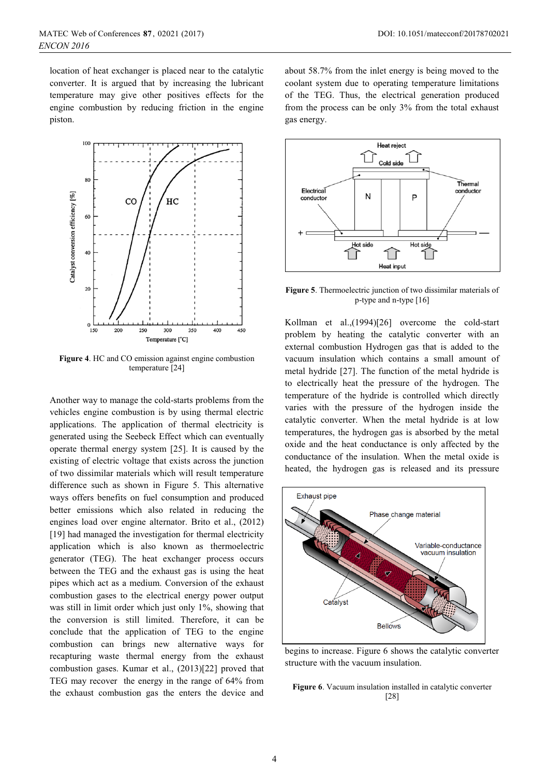location of heat exchanger is placed near to the catalytic converter. It is argued that by increasing the lubricant temperature may give other positives effects for the engine combustion by reducing friction in the engine piston.



**Figure 4**. HC and CO emission against engine combustion temperature [24]

Another way to manage the cold-starts problems from the vehicles engine combustion is by using thermal electric applications. The application of thermal electricity is generated using the Seebeck Effect which can eventually operate thermal energy system [25]. It is caused by the existing of electric voltage that exists across the junction of two dissimilar materials which will result temperature difference such as shown in Figure 5. This alternative ways offers benefits on fuel consumption and produced better emissions which also related in reducing the engines load over engine alternator. Brito et al., (2012) [19] had managed the investigation for thermal electricity application which is also known as thermoelectric generator (TEG). The heat exchanger process occurs between the TEG and the exhaust gas is using the heat pipes which act as a medium. Conversion of the exhaust combustion gases to the electrical energy power output was still in limit order which just only 1%, showing that the conversion is still limited. Therefore, it can be conclude that the application of TEG to the engine combustion can brings new alternative ways for recapturing waste thermal energy from the exhaust combustion gases. Kumar et al., (2013)[22] proved that TEG may recover the energy in the range of 64% from the exhaust combustion gas the enters the device and about 58.7% from the inlet energy is being moved to the coolant system due to operating temperature limitations of the TEG. Thus, the electrical generation produced from the process can be only 3% from the total exhaust gas energy.



**Figure 5**. Thermoelectric junction of two dissimilar materials of p-type and n-type [16]

Kollman et al.,(1994)[26] overcome the cold-start problem by heating the catalytic converter with an external combustion Hydrogen gas that is added to the vacuum insulation which contains a small amount of metal hydride [27]. The function of the metal hydride is to electrically heat the pressure of the hydrogen. The temperature of the hydride is controlled which directly varies with the pressure of the hydrogen inside the catalytic converter. When the metal hydride is at low temperatures, the hydrogen gas is absorbed by the metal oxide and the heat conductance is only affected by the conductance of the insulation. When the metal oxide is heated, the hydrogen gas is released and its pressure



begins to increase. Figure 6 shows the catalytic converter structure with the vacuum insulation.

**Figure 6**. Vacuum insulation installed in catalytic converter [28]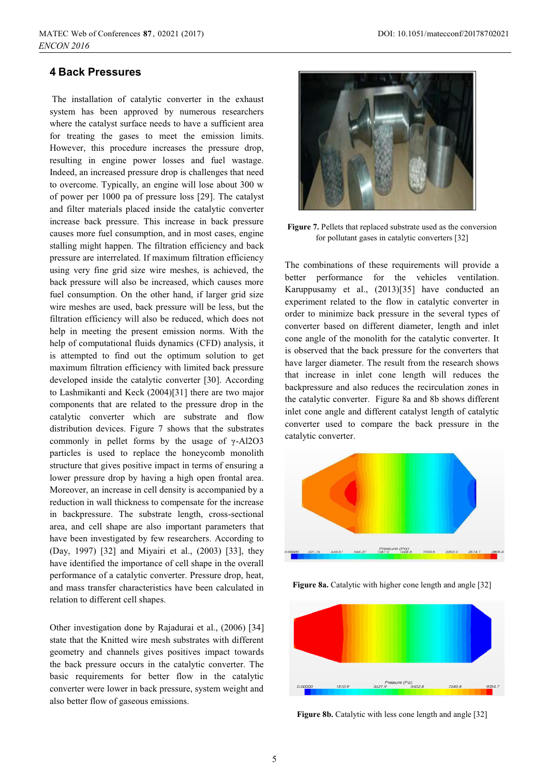#### **4 Back Pressures**

 The installation of catalytic converter in the exhaust system has been approved by numerous researchers where the catalyst surface needs to have a sufficient area for treating the gases to meet the emission limits. However, this procedure increases the pressure drop, resulting in engine power losses and fuel wastage. Indeed, an increased pressure drop is challenges that need to overcome. Typically, an engine will lose about 300 w of power per 1000 pa of pressure loss [29]. The catalyst and filter materials placed inside the catalytic converter increase back pressure. This increase in back pressure causes more fuel consumption, and in most cases, engine stalling might happen. The filtration efficiency and back pressure are interrelated. If maximum filtration efficiency using very fine grid size wire meshes, is achieved, the back pressure will also be increased, which causes more fuel consumption. On the other hand, if larger grid size wire meshes are used, back pressure will be less, but the filtration efficiency will also be reduced, which does not help in meeting the present emission norms. With the help of computational fluids dynamics (CFD) analysis, it is attempted to find out the optimum solution to get maximum filtration efficiency with limited back pressure developed inside the catalytic converter [30]. According to Lashmikanti and Keck (2004)[31] there are two major components that are related to the pressure drop in the catalytic converter which are substrate and flow distribution devices. Figure 7 shows that the substrates commonly in pellet forms by the usage of γ-Al2O3 particles is used to replace the honeycomb monolith structure that gives positive impact in terms of ensuring a lower pressure drop by having a high open frontal area. Moreover, an increase in cell density is accompanied by a reduction in wall thickness to compensate for the increase in backpressure. The substrate length, cross-sectional area, and cell shape are also important parameters that have been investigated by few researchers. According to (Day, 1997) [32] and Miyairi et al., (2003) [33], they have identified the importance of cell shape in the overall performance of a catalytic converter. Pressure drop, heat, and mass transfer characteristics have been calculated in relation to different cell shapes.

Other investigation done by Rajadurai et al., (2006) [34] state that the Knitted wire mesh substrates with different geometry and channels gives positives impact towards the back pressure occurs in the catalytic converter. The basic requirements for better flow in the catalytic converter were lower in back pressure, system weight and also better flow of gaseous emissions.



**Figure 7.** Pellets that replaced substrate used as the conversion for pollutant gases in catalytic converters [32]

The combinations of these requirements will provide a better performance for the vehicles ventilation. Karuppusamy et al., (2013)[35] have conducted an experiment related to the flow in catalytic converter in order to minimize back pressure in the several types of converter based on different diameter, length and inlet cone angle of the monolith for the catalytic converter. It is observed that the back pressure for the converters that have larger diameter. The result from the research shows that increase in inlet cone length will reduces the backpressure and also reduces the recirculation zones in the catalytic converter. Figure 8a and 8b shows different inlet cone angle and different catalyst length of catalytic converter used to compare the back pressure in the catalytic converter.



**Figure 8a.** Catalytic with higher cone length and angle [32]



**Figure 8b.** Catalytic with less cone length and angle [32]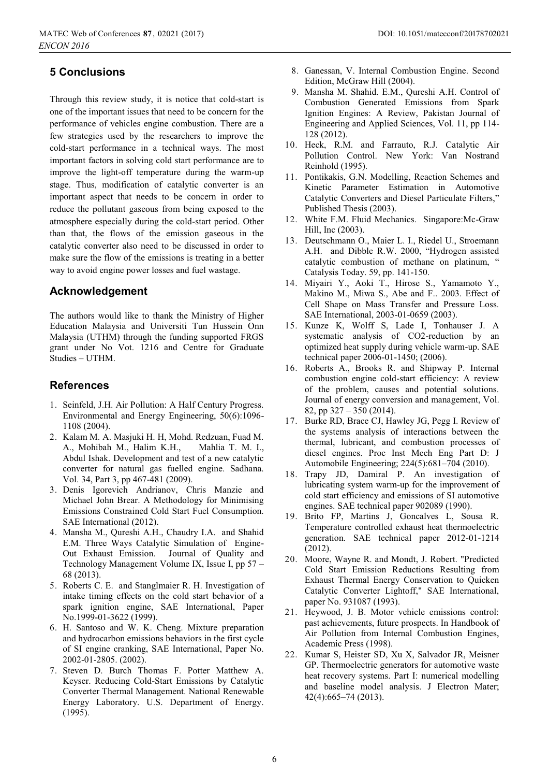# **5 Conclusions**

Through this review study, it is notice that cold-start is one of the important issues that need to be concern for the performance of vehicles engine combustion. There are a few strategies used by the researchers to improve the cold-start performance in a technical ways. The most important factors in solving cold start performance are to improve the light-off temperature during the warm-up stage. Thus, modification of catalytic converter is an important aspect that needs to be concern in order to reduce the pollutant gaseous from being exposed to the atmosphere especially during the cold-start period. Other than that, the flows of the emission gaseous in the catalytic converter also need to be discussed in order to make sure the flow of the emissions is treating in a better way to avoid engine power losses and fuel wastage.

## **Acknowledgement**

The authors would like to thank the Ministry of Higher Education Malaysia and Universiti Tun Hussein Onn Malaysia (UTHM) through the funding supported FRGS grant under No Vot. 1216 and Centre for Graduate Studies – UTHM.

## **References**

- 1. Seinfeld, J.H. Air Pollution: A Half Century Progress. Environmental and Energy Engineering, 50(6):1096- 1108 (2004).
- 2. Kalam M. A. Masjuki H. H, Mohd. Redzuan, Fuad M. A., Mohibah M., Halim K.H., Mahlia T. M. I., Abdul Ishak. Development and test of a new catalytic converter for natural gas fuelled engine. Sadhana. Vol. 34, Part 3, pp 467-481 (2009).
- 3. Denis Igorevich Andrianov, Chris Manzie and Michael John Brear. A Methodology for Minimising Emissions Constrained Cold Start Fuel Consumption. SAE International (2012).
- 4. Mansha M., Qureshi A.H., Chaudry I.A. and Shahid E.M. Three Ways Catalytic Simulation of Engine-Out Exhaust Emission. Journal of Quality and Technology Management Volume IX, Issue I, pp 57 – 68 (2013).
- 5. Roberts C. E. and Stanglmaier R. H. Investigation of intake timing effects on the cold start behavior of a spark ignition engine, SAE International, Paper No.1999-01-3622 (1999).
- 6. H. Santoso and W. K. Cheng. Mixture preparation and hydrocarbon emissions behaviors in the first cycle of SI engine cranking, SAE International, Paper No. 2002-01-2805. (2002).
- 7. Steven D. Burch Thomas F. Potter Matthew A. Keyser. Reducing Cold-Start Emissions by Catalytic Converter Thermal Management. National Renewable Energy Laboratory. U.S. Department of Energy. (1995).
- 8. Ganessan, V. Internal Combustion Engine. Second Edition, McGraw Hill (2004).
- 9. Mansha M. Shahid. E.M., Qureshi A.H. Control of Combustion Generated Emissions from Spark Ignition Engines: A Review, Pakistan Journal of Engineering and Applied Sciences, Vol. 11, pp 114- 128 (2012).
- 10. Heck, R.M. and Farrauto, R.J. Catalytic Air Pollution Control. New York: Van Nostrand Reinhold (1995).
- 11. Pontikakis, G.N. Modelling, Reaction Schemes and Kinetic Parameter Estimation in Automotive Catalytic Converters and Diesel Particulate Filters," Published Thesis (2003).
- 12. White F.M. Fluid Mechanics. Singapore:Mc-Graw Hill, Inc (2003).
- 13. Deutschmann O., Maier L. I., Riedel U., Stroemann A.H. and Dibble R.W. 2000, "Hydrogen assisted catalytic combustion of methane on platinum, " Catalysis Today. 59, pp. 141-150.
- 14. Miyairi Y., Aoki T., Hirose S., Yamamoto Y., Makino M., Miwa S., Abe and F.. 2003. Effect of Cell Shape on Mass Transfer and Pressure Loss. SAE International, 2003-01-0659 (2003).
- 15. Kunze K, Wolff S, Lade I, Tonhauser J. A systematic analysis of CO2-reduction by an optimized heat supply during vehicle warm-up. SAE technical paper 2006-01-1450; (2006).
- 16. Roberts A., Brooks R. and Shipway P. Internal combustion engine cold-start efficiency: A review of the problem, causes and potential solutions. Journal of energy conversion and management, Vol. 82, pp 327 – 350 (2014).
- 17. Burke RD, Brace CJ, Hawley JG, Pegg I. Review of the systems analysis of interactions between the thermal, lubricant, and combustion processes of diesel engines. Proc Inst Mech Eng Part D: J Automobile Engineering; 224(5):681–704 (2010).
- 18. Trapy JD, Damiral P. An investigation of lubricating system warm-up for the improvement of cold start efficiency and emissions of SI automotive engines. SAE technical paper 902089 (1990).
- 19. Brito FP, Martins J, Goncalves L, Sousa R. Temperature controlled exhaust heat thermoelectric generation. SAE technical paper 2012-01-1214 (2012).
- 20. Moore, Wayne R. and Mondt, J. Robert. "Predicted Cold Start Emission Reductions Resulting from Exhaust Thermal Energy Conservation to Quicken Catalytic Converter Lightoff," SAE International, paper No. 931087 (1993).
- 21. Heywood, J. B. Motor vehicle emissions control: past achievements, future prospects. In Handbook of Air Pollution from Internal Combustion Engines, Academic Press (1998).
- 22. Kumar S, Heister SD, Xu X, Salvador JR, Meisner GP. Thermoelectric generators for automotive waste heat recovery systems. Part I: numerical modelling and baseline model analysis. J Electron Mater; 42(4):665–74 (2013).